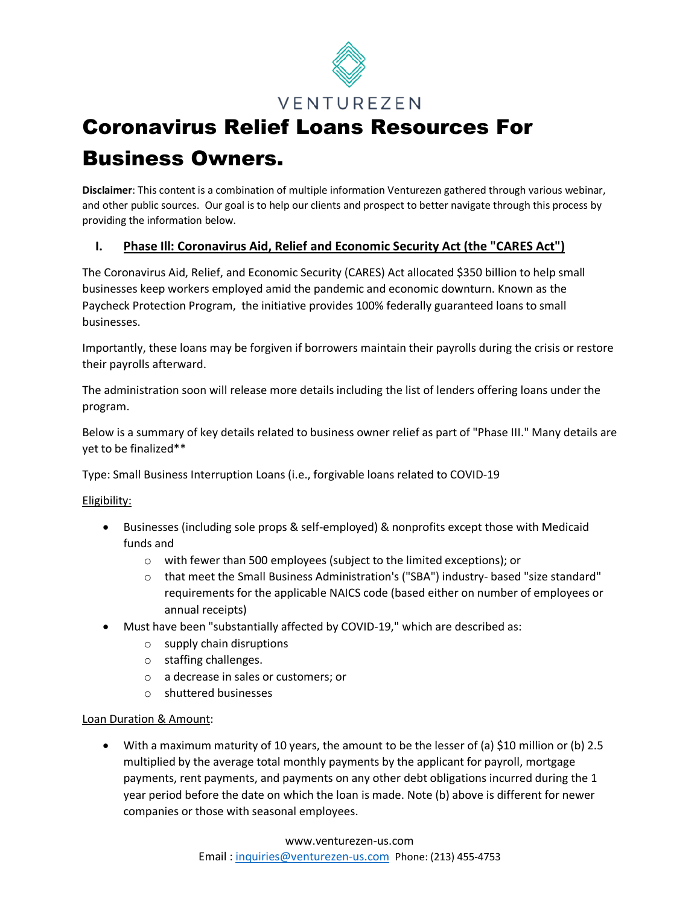

# Coronavirus Relief Loans Resources For Business Owners.

**Disclaimer**: This content is a combination of multiple information Venturezen gathered through various webinar, and other public sources. Our goal is to help our clients and prospect to better navigate through this process by providing the information below.

# **I. Phase Ill: Coronavirus Aid, Relief and Economic Security Act (the "CARES Act")**

The Coronavirus Aid, Relief, and Economic Security (CARES) Act allocated \$350 billion to help small businesses keep workers employed amid the pandemic and economic downturn. Known as the Paycheck Protection Program, the initiative provides 100% federally guaranteed loans to small businesses.

Importantly, these loans may be forgiven if borrowers maintain their payrolls during the crisis or restore their payrolls afterward.

The administration soon will release more details including the list of lenders offering loans under the program.

Below is a summary of key details related to business owner relief as part of "Phase III." Many details are yet to be finalized\*\*

Type: Small Business Interruption Loans (i.e., forgivable loans related to COVID-19

# Eligibility:

- Businesses (including sole props & self-employed) & nonprofits except those with Medicaid funds and
	- o with fewer than 500 employees (subject to the limited exceptions); or
	- o that meet the Small Business Administration's ("SBA") industry- based "size standard" requirements for the applicable NAICS code (based either on number of employees or annual receipts)
- Must have been "substantially affected by COVID-19," which are described as:
	- o supply chain disruptions
	- o staffing challenges.
	- o a decrease in sales or customers; or
	- o shuttered businesses

# Loan Duration & Amount:

• With a maximum maturity of 10 years, the amount to be the lesser of (a) \$10 million or (b) 2.5 multiplied by the average total monthly payments by the applicant for payroll, mortgage payments, rent payments, and payments on any other debt obligations incurred during the 1 year period before the date on which the loan is made. Note (b) above is different for newer companies or those with seasonal employees.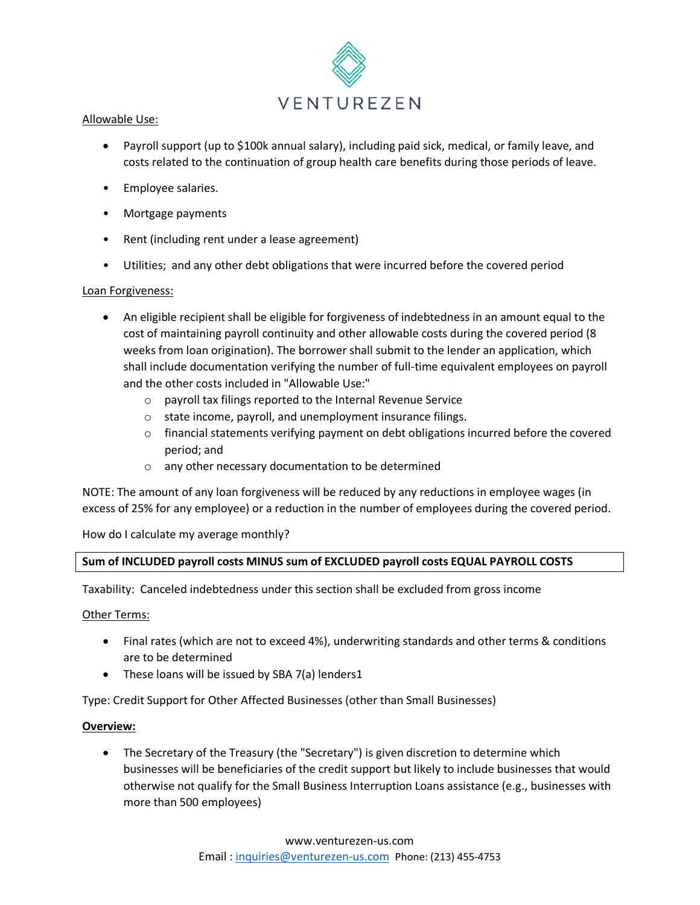

#### Allowable Use:

- Payroll support (up to \$100k annual salary), including paid sick, medical, or family leave, and costs related to the continuation of group health care benefits during those periods of leave.
- Employee salaries.
- Mortgage payments
- Rent (including rent under a lease agreement)
- Utilities; and any other debt obligations that were incurred before the covered period

# Loan Forgiveness:

- An eligible recipient shall be eligible for forgiveness of indebtedness in an amount equal to the cost of maintaining payroll continuity and other allowable costs during the covered period (8 weeks from loan origination). The borrower shall submit to the lender an application, which shall include documentation verifying the number of full-time equivalent employees on payroll and the other costs included in "Allowable Use:"
	- o payroll tax filings reported to the Internal Revenue Service
	- o state income, payroll, and unemployment insurance filings.
	- $\circ$  financial statements verifying payment on debt obligations incurred before the covered period; and
	- o any other necessary documentation to be determined

NOTE: The amount of any loan forgiveness will be reduced by any reductions in employee wages (in excess of 25% for any employee) or a reduction in the number of employees during the covered period.

How do I calculate my average monthly?

# **Sum of INCLUDED payroll costs MINUS sum of EXCLUDED payroll costs EQUAL PAYROLL COSTS**

Taxability: Canceled indebtedness under this section shall be excluded from gross income

#### Other Terms:

- Final rates (which are not to exceed 4%), underwriting standards and other terms & conditions are to be determined
- These loans will be issued by SBA 7(a) lenders1

Type: Credit Support for Other Affected Businesses (other than Small Businesses)

#### **Overview:**

• The Secretary of the Treasury (the "Secretary") is given discretion to determine which businesses will be beneficiaries of the credit support but likely to include businesses that would otherwise not qualify for the Small Business Interruption Loans assistance (e.g., businesses with more than 500 employees)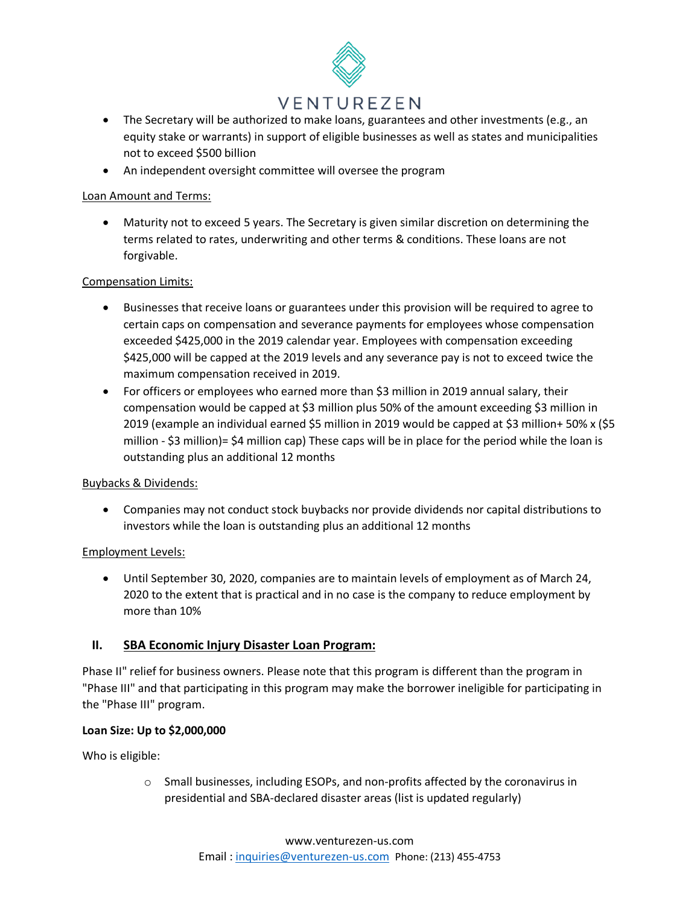# VENTUREZEN

- The Secretary will be authorized to make loans, guarantees and other investments (e.g., an equity stake or warrants) in support of eligible businesses as well as states and municipalities not to exceed \$500 billion
- An independent oversight committee will oversee the program

# Loan Amount and Terms:

• Maturity not to exceed 5 years. The Secretary is given similar discretion on determining the terms related to rates, underwriting and other terms & conditions. These loans are not forgivable.

# Compensation Limits:

- Businesses that receive loans or guarantees under this provision will be required to agree to certain caps on compensation and severance payments for employees whose compensation exceeded \$425,000 in the 2019 calendar year. Employees with compensation exceeding \$425,000 will be capped at the 2019 levels and any severance pay is not to exceed twice the maximum compensation received in 2019.
- For officers or employees who earned more than \$3 million in 2019 annual salary, their compensation would be capped at \$3 million plus 50% of the amount exceeding \$3 million in 2019 (example an individual earned \$5 million in 2019 would be capped at \$3 million+ 50% x (\$5 million - \$3 million)= \$4 million cap) These caps will be in place for the period while the loan is outstanding plus an additional 12 months

#### Buybacks & Dividends:

• Companies may not conduct stock buybacks nor provide dividends nor capital distributions to investors while the loan is outstanding plus an additional 12 months

# Employment Levels:

• Until September 30, 2020, companies are to maintain levels of employment as of March 24, 2020 to the extent that is practical and in no case is the company to reduce employment by more than 10%

# **II. SBA Economic Injury Disaster Loan Program:**

Phase II" relief for business owners. Please note that this program is different than the program in "Phase III" and that participating in this program may make the borrower ineligible for participating in the "Phase III" program.

#### **Loan Size: Up to \$2,000,000**

Who is eligible:

o Small businesses, including ESOPs, and non-profits affected by the coronavirus in presidential and SBA-declared disaster areas (list is updated regularly)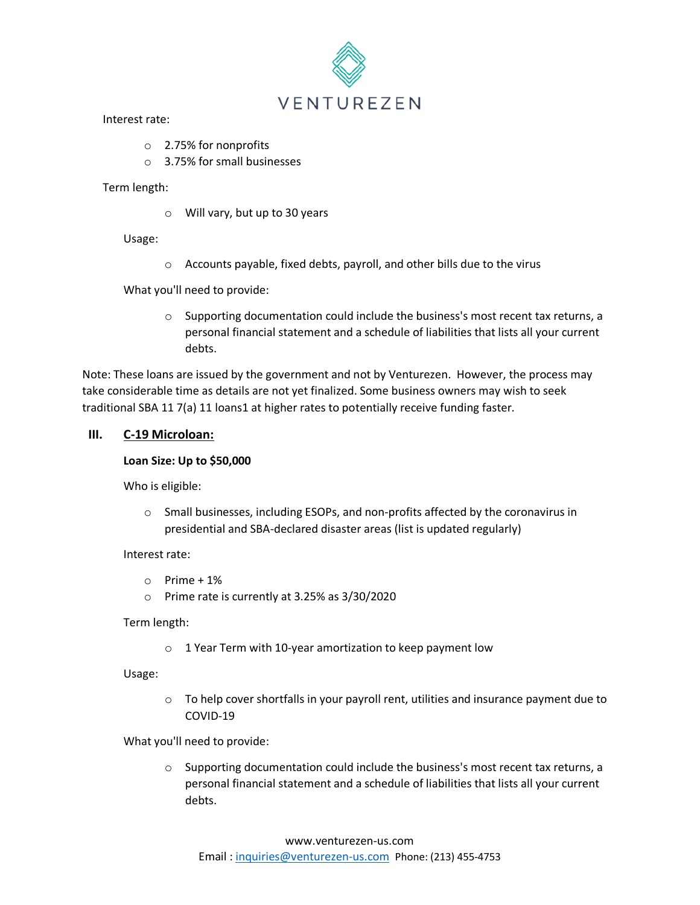

#### Interest rate:

- o 2.75% for nonprofits
- o 3.75% for small businesses

#### Term length:

o Will vary, but up to 30 years

Usage:

o Accounts payable, fixed debts, payroll, and other bills due to the virus

What you'll need to provide:

 $\circ$  Supporting documentation could include the business's most recent tax returns, a personal financial statement and a schedule of liabilities that lists all your current debts.

Note: These loans are issued by the government and not by Venturezen. However, the process may take considerable time as details are not yet finalized. Some business owners may wish to seek traditional SBA 11 7(a) 11 loans1 at higher rates to potentially receive funding faster.

# **III. C-19 Microloan:**

#### **Loan Size: Up to \$50,000**

Who is eligible:

o Small businesses, including ESOPs, and non-profits affected by the coronavirus in presidential and SBA-declared disaster areas (list is updated regularly)

#### Interest rate:

- $\circ$  Prime + 1%
- o Prime rate is currently at 3.25% as 3/30/2020

Term length:

o 1 Year Term with 10-year amortization to keep payment low

Usage:

 $\circ$  To help cover shortfalls in your payroll rent, utilities and insurance payment due to COVID-19

What you'll need to provide:

 $\circ$  Supporting documentation could include the business's most recent tax returns, a personal financial statement and a schedule of liabilities that lists all your current debts.